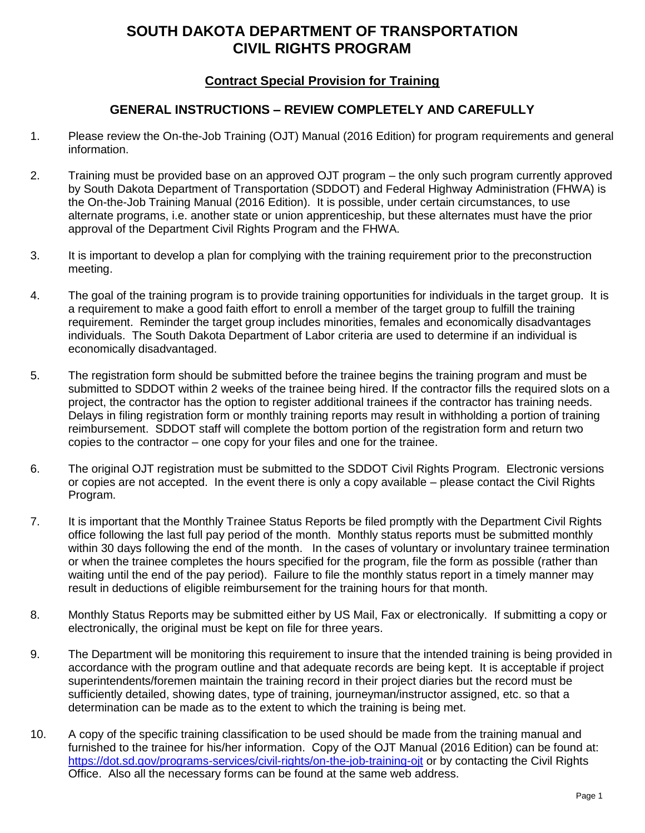## **SOUTH DAKOTA DEPARTMENT OF TRANSPORTATION CIVIL RIGHTS PROGRAM**

## **Contract Special Provision for Training**

## **GENERAL INSTRUCTIONS – REVIEW COMPLETELY AND CAREFULLY**

- 1. Please review the On-the-Job Training (OJT) Manual (2016 Edition) for program requirements and general information.
- 2. Training must be provided base on an approved OJT program the only such program currently approved by South Dakota Department of Transportation (SDDOT) and Federal Highway Administration (FHWA) is the On-the-Job Training Manual (2016 Edition). It is possible, under certain circumstances, to use alternate programs, i.e. another state or union apprenticeship, but these alternates must have the prior approval of the Department Civil Rights Program and the FHWA.
- 3. It is important to develop a plan for complying with the training requirement prior to the preconstruction meeting.
- 4. The goal of the training program is to provide training opportunities for individuals in the target group. It is a requirement to make a good faith effort to enroll a member of the target group to fulfill the training requirement. Reminder the target group includes minorities, females and economically disadvantages individuals. The South Dakota Department of Labor criteria are used to determine if an individual is economically disadvantaged.
- 5. The registration form should be submitted before the trainee begins the training program and must be submitted to SDDOT within 2 weeks of the trainee being hired. If the contractor fills the required slots on a project, the contractor has the option to register additional trainees if the contractor has training needs. Delays in filing registration form or monthly training reports may result in withholding a portion of training reimbursement. SDDOT staff will complete the bottom portion of the registration form and return two copies to the contractor – one copy for your files and one for the trainee.
- 6. The original OJT registration must be submitted to the SDDOT Civil Rights Program. Electronic versions or copies are not accepted. In the event there is only a copy available – please contact the Civil Rights Program.
- 7. It is important that the Monthly Trainee Status Reports be filed promptly with the Department Civil Rights office following the last full pay period of the month. Monthly status reports must be submitted monthly within 30 days following the end of the month. In the cases of voluntary or involuntary trainee termination or when the trainee completes the hours specified for the program, file the form as possible (rather than waiting until the end of the pay period). Failure to file the monthly status report in a timely manner may result in deductions of eligible reimbursement for the training hours for that month.
- 8. Monthly Status Reports may be submitted either by US Mail, Fax or electronically. If submitting a copy or electronically, the original must be kept on file for three years.
- 9. The Department will be monitoring this requirement to insure that the intended training is being provided in accordance with the program outline and that adequate records are being kept. It is acceptable if project superintendents/foremen maintain the training record in their project diaries but the record must be sufficiently detailed, showing dates, type of training, journeyman/instructor assigned, etc. so that a determination can be made as to the extent to which the training is being met.
- 10. A copy of the specific training classification to be used should be made from the training manual and furnished to the trainee for his/her information. Copy of the OJT Manual (2016 Edition) can be found at: <https://dot.sd.gov/programs-services/civil-rights/on-the-job-training-ojt> or by contacting the Civil Rights Office. Also all the necessary forms can be found at the same web address.